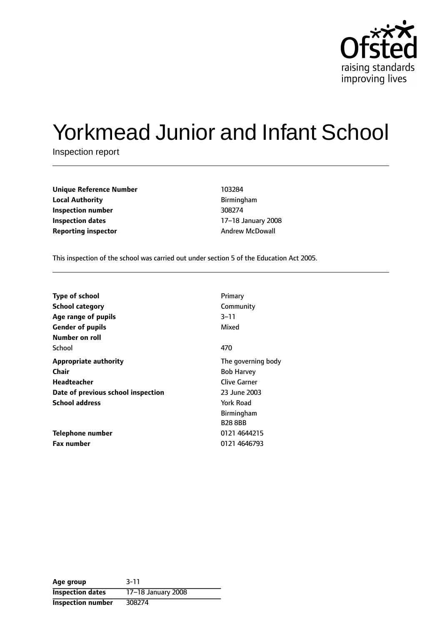

# Yorkmead Junior and Infant School

Inspection report

| <b>Unique Reference Number</b> | 103284                 |
|--------------------------------|------------------------|
| <b>Local Authority</b>         | Birmingham             |
| Inspection number              | 308274                 |
| Inspection dates               | 17-18 January 200      |
| <b>Reporting inspector</b>     | <b>Andrew McDowall</b> |

**Local Authority** Birmingham **Inspection number** 308274 **17-18 January 2008** 

This inspection of the school was carried out under section 5 of the Education Act 2005.

| <b>Type of school</b>              | Primary             |
|------------------------------------|---------------------|
| <b>School category</b>             | Community           |
| Age range of pupils                | 3–11                |
| <b>Gender of pupils</b>            | Mixed               |
| Number on roll                     |                     |
| School                             | 470                 |
| <b>Appropriate authority</b>       | The governing body  |
| Chair                              | <b>Bob Harvey</b>   |
| Headteacher                        | <b>Clive Garner</b> |
| Date of previous school inspection | 23 June 2003        |
| <b>School address</b>              | York Road           |
|                                    | <b>Birmingham</b>   |
|                                    | <b>B28 8BB</b>      |
| Telephone number                   | 0121 4644215        |
| <b>Fax number</b>                  | 0121 4646793        |

| Age group                | $3 - 11$           |
|--------------------------|--------------------|
| <b>Inspection dates</b>  | 17-18 January 2008 |
| <b>Inspection number</b> | 308274             |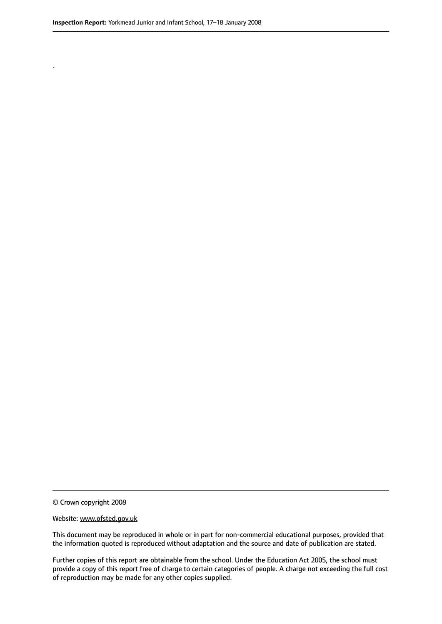.

© Crown copyright 2008

#### Website: www.ofsted.gov.uk

This document may be reproduced in whole or in part for non-commercial educational purposes, provided that the information quoted is reproduced without adaptation and the source and date of publication are stated.

Further copies of this report are obtainable from the school. Under the Education Act 2005, the school must provide a copy of this report free of charge to certain categories of people. A charge not exceeding the full cost of reproduction may be made for any other copies supplied.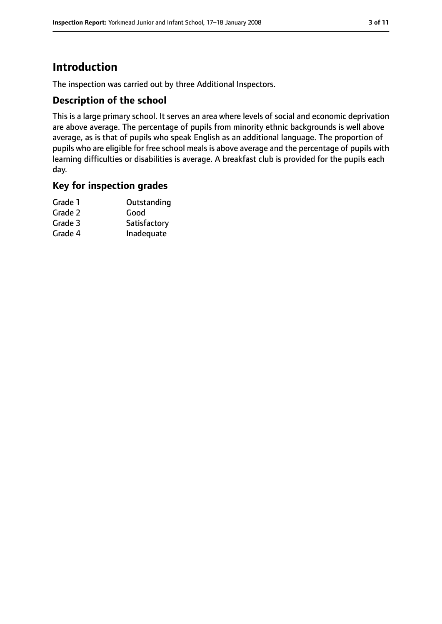# **Introduction**

The inspection was carried out by three Additional Inspectors.

## **Description of the school**

This is a large primary school. It serves an area where levels of social and economic deprivation are above average. The percentage of pupils from minority ethnic backgrounds is well above average, as is that of pupils who speak English as an additional language. The proportion of pupils who are eligible for free school meals is above average and the percentage of pupils with learning difficulties or disabilities is average. A breakfast club is provided for the pupils each day.

### **Key for inspection grades**

| Grade 1 | Outstanding  |
|---------|--------------|
| Grade 2 | Good         |
| Grade 3 | Satisfactory |
| Grade 4 | Inadequate   |
|         |              |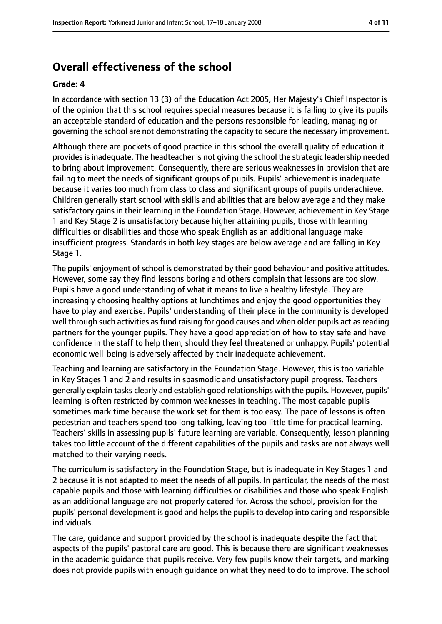# **Overall effectiveness of the school**

#### **Grade: 4**

In accordance with section 13 (3) of the Education Act 2005, Her Majesty's Chief Inspector is of the opinion that this school requires special measures because it is failing to give its pupils an acceptable standard of education and the persons responsible for leading, managing or governing the school are not demonstrating the capacity to secure the necessary improvement.

Although there are pockets of good practice in this school the overall quality of education it provides is inadequate. The headteacher is not giving the school the strategic leadership needed to bring about improvement. Consequently, there are serious weaknesses in provision that are failing to meet the needs of significant groups of pupils. Pupils' achievement is inadequate because it varies too much from class to class and significant groups of pupils underachieve. Children generally start school with skills and abilities that are below average and they make satisfactory gains in their learning in the Foundation Stage. However, achievement in Key Stage 1 and Key Stage 2 is unsatisfactory because higher attaining pupils, those with learning difficulties or disabilities and those who speak English as an additional language make insufficient progress. Standards in both key stages are below average and are falling in Key Stage 1.

The pupils' enjoyment of school is demonstrated by their good behaviour and positive attitudes. However, some say they find lessons boring and others complain that lessons are too slow. Pupils have a good understanding of what it means to live a healthy lifestyle. They are increasingly choosing healthy options at lunchtimes and enjoy the good opportunities they have to play and exercise. Pupils' understanding of their place in the community is developed well through such activities as fund raising for good causes and when older pupils act as reading partners for the younger pupils. They have a good appreciation of how to stay safe and have confidence in the staff to help them, should they feel threatened or unhappy. Pupils' potential economic well-being is adversely affected by their inadequate achievement.

Teaching and learning are satisfactory in the Foundation Stage. However, this is too variable in Key Stages 1 and 2 and results in spasmodic and unsatisfactory pupil progress. Teachers generally explain tasks clearly and establish good relationships with the pupils. However, pupils' learning is often restricted by common weaknesses in teaching. The most capable pupils sometimes mark time because the work set for them is too easy. The pace of lessons is often pedestrian and teachers spend too long talking, leaving too little time for practical learning. Teachers' skills in assessing pupils' future learning are variable. Consequently, lesson planning takes too little account of the different capabilities of the pupils and tasks are not always well matched to their varying needs.

The curriculum is satisfactory in the Foundation Stage, but is inadequate in Key Stages 1 and 2 because it is not adapted to meet the needs of all pupils. In particular, the needs of the most capable pupils and those with learning difficulties or disabilities and those who speak English as an additional language are not properly catered for. Across the school, provision for the pupils' personal development is good and helpsthe pupilsto develop into caring and responsible individuals.

The care, guidance and support provided by the school is inadequate despite the fact that aspects of the pupils' pastoral care are good. This is because there are significant weaknesses in the academic guidance that pupils receive. Very few pupils know their targets, and marking does not provide pupils with enough guidance on what they need to do to improve. The school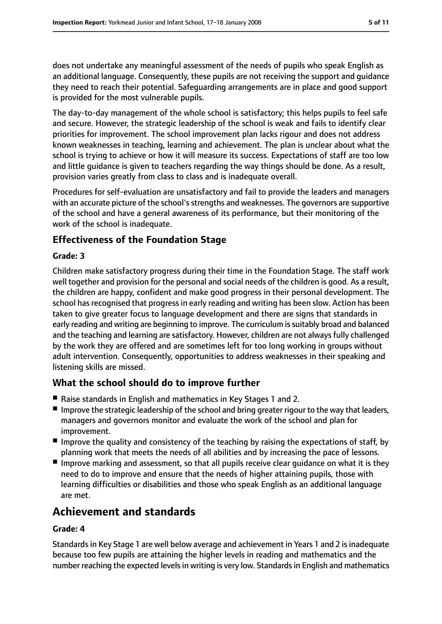does not undertake any meaningful assessment of the needs of pupils who speak English as an additional language. Consequently, these pupils are not receiving the support and guidance they need to reach their potential. Safeguarding arrangements are in place and good support is provided for the most vulnerable pupils.

The day-to-day management of the whole school is satisfactory; this helps pupils to feel safe and secure. However, the strategic leadership of the school is weak and fails to identify clear priorities for improvement. The school improvement plan lacks rigour and does not address known weaknesses in teaching, learning and achievement. The plan is unclear about what the school is trying to achieve or how it will measure its success. Expectations of staff are too low and little guidance is given to teachers regarding the way things should be done. As a result, provision varies greatly from class to class and is inadequate overall.

Procedures for self-evaluation are unsatisfactory and fail to provide the leaders and managers with an accurate picture of the school's strengths and weaknesses. The governors are supportive of the school and have a general awareness of its performance, but their monitoring of the work of the school is inadequate.

# **Effectiveness of the Foundation Stage**

#### **Grade: 3**

Children make satisfactory progress during their time in the Foundation Stage. The staff work well together and provision for the personal and social needs of the children is good. As a result, the children are happy, confident and make good progress in their personal development. The school has recognised that progress in early reading and writing has been slow. Action has been taken to give greater focus to language development and there are signs that standards in early reading and writing are beginning to improve. The curriculum issuitably broad and balanced and the teaching and learning are satisfactory. However, children are not always fully challenged by the work they are offered and are sometimes left for too long working in groups without adult intervention. Consequently, opportunities to address weaknesses in their speaking and listening skills are missed.

# **What the school should do to improve further**

- Raise standards in English and mathematics in Key Stages 1 and 2.
- Improve the strategic leadership of the school and bring greater rigour to the way that leaders, managers and governors monitor and evaluate the work of the school and plan for improvement.
- Improve the quality and consistency of the teaching by raising the expectations of staff, by planning work that meets the needs of all abilities and by increasing the pace of lessons.
- Improve marking and assessment, so that all pupils receive clear quidance on what it is they need to do to improve and ensure that the needs of higher attaining pupils, those with learning difficulties or disabilities and those who speak English as an additional language are met.

# **Achievement and standards**

#### **Grade: 4**

Standardsin Key Stage 1 are well below average and achievement in Years 1 and 2 isinadequate because too few pupils are attaining the higher levels in reading and mathematics and the number reaching the expected levels in writing is very low. Standards in English and mathematics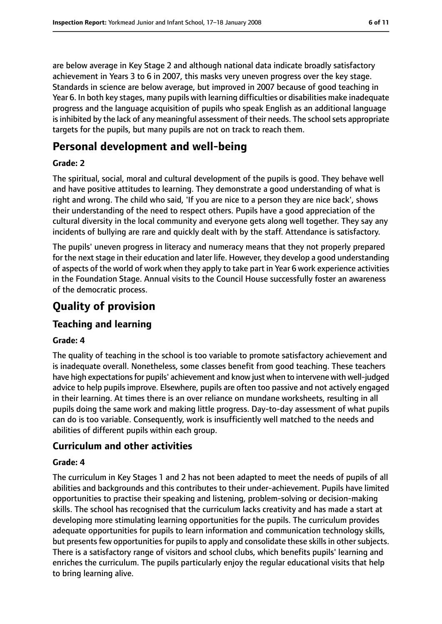are below average in Key Stage 2 and although national data indicate broadly satisfactory achievement in Years 3 to 6 in 2007, this masks very uneven progress over the key stage. Standards in science are below average, but improved in 2007 because of good teaching in Year 6. In both key stages, many pupils with learning difficulties or disabilities make inadequate progress and the language acquisition of pupils who speak English as an additional language is inhibited by the lack of any meaningful assessment of their needs. The school sets appropriate targets for the pupils, but many pupils are not on track to reach them.

# **Personal development and well-being**

#### **Grade: 2**

The spiritual, social, moral and cultural development of the pupils is good. They behave well and have positive attitudes to learning. They demonstrate a good understanding of what is right and wrong. The child who said, 'If you are nice to a person they are nice back', shows their understanding of the need to respect others. Pupils have a good appreciation of the cultural diversity in the local community and everyone gets along well together. They say any incidents of bullying are rare and quickly dealt with by the staff. Attendance is satisfactory.

The pupils' uneven progress in literacy and numeracy means that they not properly prepared for the next stage in their education and later life. However, they develop a good understanding of aspects of the world of work when they apply to take part in Year 6 work experience activities in the Foundation Stage. Annual visits to the Council House successfully foster an awareness of the democratic process.

# **Quality of provision**

# **Teaching and learning**

#### **Grade: 4**

The quality of teaching in the school is too variable to promote satisfactory achievement and is inadequate overall. Nonetheless, some classes benefit from good teaching. These teachers have high expectations for pupils' achievement and know just when to intervene with well-judged advice to help pupils improve. Elsewhere, pupils are often too passive and not actively engaged in their learning. At times there is an over reliance on mundane worksheets, resulting in all pupils doing the same work and making little progress. Day-to-day assessment of what pupils can do is too variable. Consequently, work is insufficiently well matched to the needs and abilities of different pupils within each group.

## **Curriculum and other activities**

#### **Grade: 4**

The curriculum in Key Stages 1 and 2 has not been adapted to meet the needs of pupils of all abilities and backgrounds and this contributes to their under-achievement. Pupils have limited opportunities to practise their speaking and listening, problem-solving or decision-making skills. The school has recognised that the curriculum lacks creativity and has made a start at developing more stimulating learning opportunities for the pupils. The curriculum provides adequate opportunities for pupils to learn information and communication technology skills, but presents few opportunities for pupils to apply and consolidate these skills in other subjects. There is a satisfactory range of visitors and school clubs, which benefits pupils' learning and enriches the curriculum. The pupils particularly enjoy the regular educational visits that help to bring learning alive.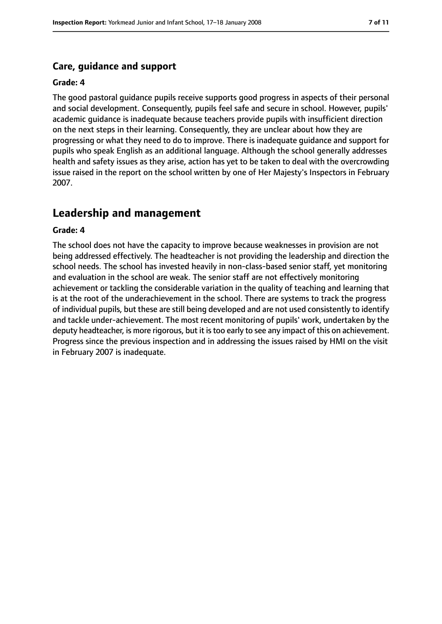## **Care, guidance and support**

#### **Grade: 4**

The good pastoral guidance pupils receive supports good progress in aspects of their personal and social development. Consequently, pupils feel safe and secure in school. However, pupils' academic guidance is inadequate because teachers provide pupils with insufficient direction on the next steps in their learning. Consequently, they are unclear about how they are progressing or what they need to do to improve. There is inadequate guidance and support for pupils who speak English as an additional language. Although the school generally addresses health and safety issues as they arise, action has yet to be taken to deal with the overcrowding issue raised in the report on the school written by one of Her Majesty's Inspectors in February 2007.

# **Leadership and management**

#### **Grade: 4**

The school does not have the capacity to improve because weaknesses in provision are not being addressed effectively. The headteacher is not providing the leadership and direction the school needs. The school has invested heavily in non-class-based senior staff, yet monitoring and evaluation in the school are weak. The senior staff are not effectively monitoring achievement or tackling the considerable variation in the quality of teaching and learning that is at the root of the underachievement in the school. There are systems to track the progress of individual pupils, but these are still being developed and are not used consistently to identify and tackle under-achievement. The most recent monitoring of pupils' work, undertaken by the deputy headteacher, is more rigorous, but it istoo early to see any impact of this on achievement. Progress since the previous inspection and in addressing the issues raised by HMI on the visit in February 2007 is inadequate.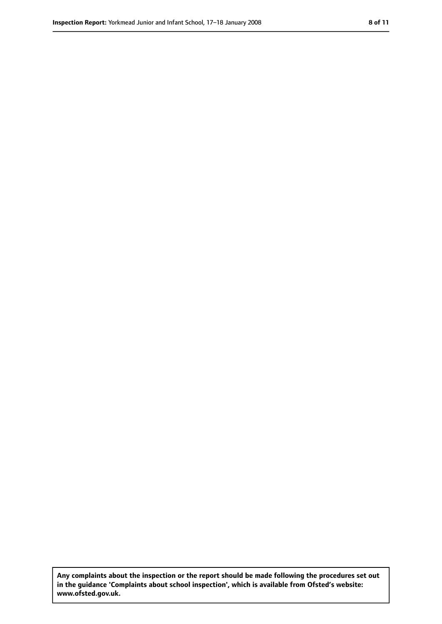**Any complaints about the inspection or the report should be made following the procedures set out in the guidance 'Complaints about school inspection', which is available from Ofsted's website: www.ofsted.gov.uk.**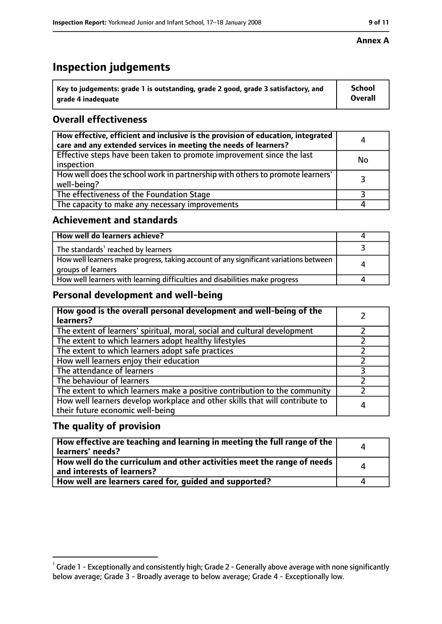# **Inspection judgements**

| $\dot{~}$ Key to judgements: grade 1 is outstanding, grade 2 good, grade 3 satisfactory, and | <b>School</b>  |
|----------------------------------------------------------------------------------------------|----------------|
| arade 4 inadequate                                                                           | <b>Overall</b> |

# **Overall effectiveness**

| How effective, efficient and inclusive is the provision of education, integrated<br>care and any extended services in meeting the needs of learners? | 4         |
|------------------------------------------------------------------------------------------------------------------------------------------------------|-----------|
| Effective steps have been taken to promote improvement since the last<br>inspection                                                                  | <b>No</b> |
| How well does the school work in partnership with others to promote learners'<br>well-being?                                                         |           |
| The effectiveness of the Foundation Stage                                                                                                            |           |
| The capacity to make any necessary improvements                                                                                                      |           |

## **Achievement and standards**

| How well do learners achieve?                                                                               |  |
|-------------------------------------------------------------------------------------------------------------|--|
| The standards <sup>1</sup> reached by learners                                                              |  |
| How well learners make progress, taking account of any significant variations between<br>groups of learners |  |
| How well learners with learning difficulties and disabilities make progress                                 |  |

# **Personal development and well-being**

| How good is the overall personal development and well-being of the<br>learners?                                  |   |
|------------------------------------------------------------------------------------------------------------------|---|
| The extent of learners' spiritual, moral, social and cultural development                                        |   |
| The extent to which learners adopt healthy lifestyles                                                            |   |
| The extent to which learners adopt safe practices                                                                |   |
| How well learners enjoy their education                                                                          |   |
| The attendance of learners                                                                                       |   |
| The behaviour of learners                                                                                        |   |
| The extent to which learners make a positive contribution to the community                                       |   |
| How well learners develop workplace and other skills that will contribute to<br>their future economic well-being | 4 |

## **The quality of provision**

| How effective are teaching and learning in meeting the full range of the<br>learners' needs?          | Д            |
|-------------------------------------------------------------------------------------------------------|--------------|
| How well do the curriculum and other activities meet the range of needs<br>and interests of learners? | $\mathbf{A}$ |
| How well are learners cared for, guided and supported?                                                |              |

#### **Annex A**

 $^1$  Grade 1 - Exceptionally and consistently high; Grade 2 - Generally above average with none significantly below average; Grade 3 - Broadly average to below average; Grade 4 - Exceptionally low.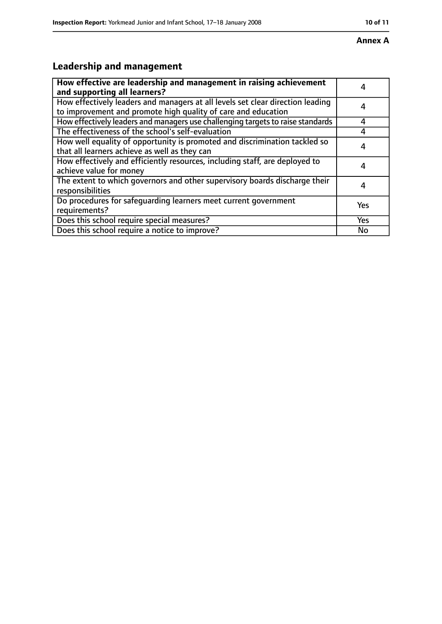#### **Annex A**

# **Leadership and management**

| How effective are leadership and management in raising achievement<br>and supporting all learners?                                              |     |
|-------------------------------------------------------------------------------------------------------------------------------------------------|-----|
| How effectively leaders and managers at all levels set clear direction leading<br>to improvement and promote high quality of care and education |     |
| How effectively leaders and managers use challenging targets to raise standards                                                                 | 4   |
| The effectiveness of the school's self-evaluation                                                                                               |     |
| How well equality of opportunity is promoted and discrimination tackled so<br>that all learners achieve as well as they can                     |     |
| How effectively and efficiently resources, including staff, are deployed to<br>achieve value for money                                          | 4   |
| The extent to which governors and other supervisory boards discharge their<br>responsibilities                                                  |     |
| Do procedures for safequarding learners meet current government<br>requirements?                                                                | Yes |
| Does this school require special measures?                                                                                                      | Yes |
| Does this school require a notice to improve?                                                                                                   | No  |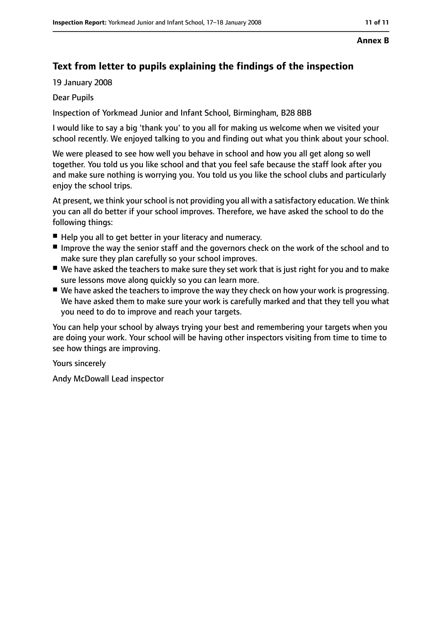#### **Annex B**

# **Text from letter to pupils explaining the findings of the inspection**

19 January 2008

#### Dear Pupils

Inspection of Yorkmead Junior and Infant School, Birmingham, B28 8BB

I would like to say a big 'thank you' to you all for making us welcome when we visited your school recently. We enjoyed talking to you and finding out what you think about your school.

We were pleased to see how well you behave in school and how you all get along so well together. You told us you like school and that you feel safe because the staff look after you and make sure nothing is worrying you. You told us you like the school clubs and particularly enjoy the school trips.

At present, we think your school is not providing you all with a satisfactory education. We think you can all do better if your school improves. Therefore, we have asked the school to do the following things:

- Help you all to get better in your literacy and numeracy.
- Improve the way the senior staff and the governors check on the work of the school and to make sure they plan carefully so your school improves.
- We have asked the teachers to make sure they set work that is just right for you and to make sure lessons move along quickly so you can learn more.
- We have asked the teachers to improve the way they check on how your work is progressing. We have asked them to make sure your work is carefully marked and that they tell you what you need to do to improve and reach your targets.

You can help your school by always trying your best and remembering your targets when you are doing your work. Your school will be having other inspectors visiting from time to time to see how things are improving.

Yours sincerely

Andy McDowall Lead inspector